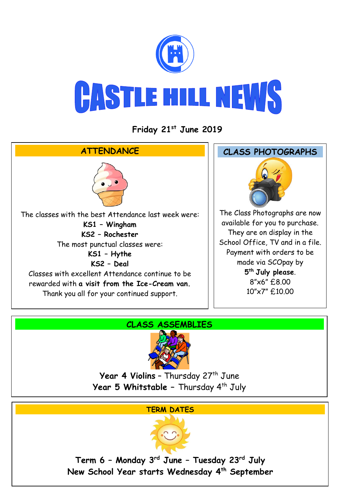

**Friday 21st June 2019**



### **CLASS ASSEMBLIES**



Year 4 Violins - Thursday 27<sup>th</sup> June **Year 5 Whitstable –** Thursday 4th July

#### **TERM DATES**



**Term 6 – Monday 3rd June – Tuesday 23rd July New School Year starts Wednesday 4th September**